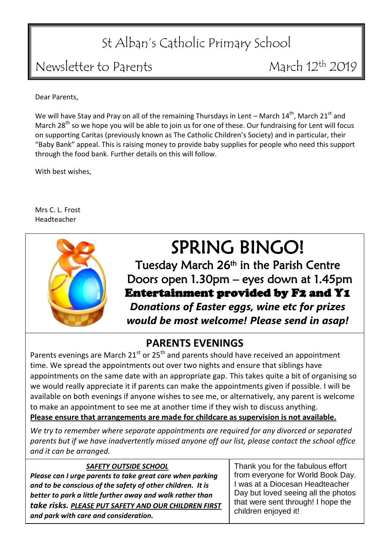# St Alban's Catholic Primary School

## Newsletter to Parents March 12<sup>th</sup> 2019

Dear Parents,

We will have Stay and Pray on all of the remaining Thursdays in Lent – March  $14<sup>th</sup>$ , March  $21<sup>st</sup>$  and March  $28<sup>th</sup>$  so we hope you will be able to join us for one of these. Our fundraising for Lent will focus on supporting Caritas (previously known as The Catholic Children's Society) and in particular, their "Baby Bank" appeal. This is raising money to provide baby supplies for people who need this support through the food bank. Further details on this will follow.

With best wishes,

Mrs C. L. Frost Headteacher



# SPRING BINGO!

Tuesday March 26<sup>th</sup> in the Parish Centre Doors open 1.30pm – eyes down at 1.45pm Entertainment provided by F2 and Y1 *Donations of Easter eggs, wine etc for prizes would be most welcome! Please send in asap!*

### **PARENTS EVENINGS**

Parents evenings are March  $21^{st}$  or  $25^{th}$  and parents should have received an appointment time. We spread the appointments out over two nights and ensure that siblings have appointments on the same date with an appropriate gap. This takes quite a bit of organising so we would really appreciate it if parents can make the appointments given if possible. I will be available on both evenings if anyone wishes to see me, or alternatively, any parent is welcome to make an appointment to see me at another time if they wish to discuss anything. **Please ensure that arrangements are made for childcare as supervision is not available.**

*We try to remember where separate appointments are required for any divorced or separated parents but if we have inadvertently missed anyone off our list, please contact the school office and it can be arranged.*

### *SAFETY OUTSIDE SCHOOL*

*Please can I urge parents to take great care when parking and to be conscious of the safety of other children. It is better to park a little further away and walk rather than take risks. PLEASE PUT SAFETY AND OUR CHILDREN FIRST and park with care and consideration.*

Thank you for the fabulous effort from everyone for World Book Day. I was at a Diocesan Headteacher Day but loved seeing all the photos that were sent through! I hope the children enjoyed it!